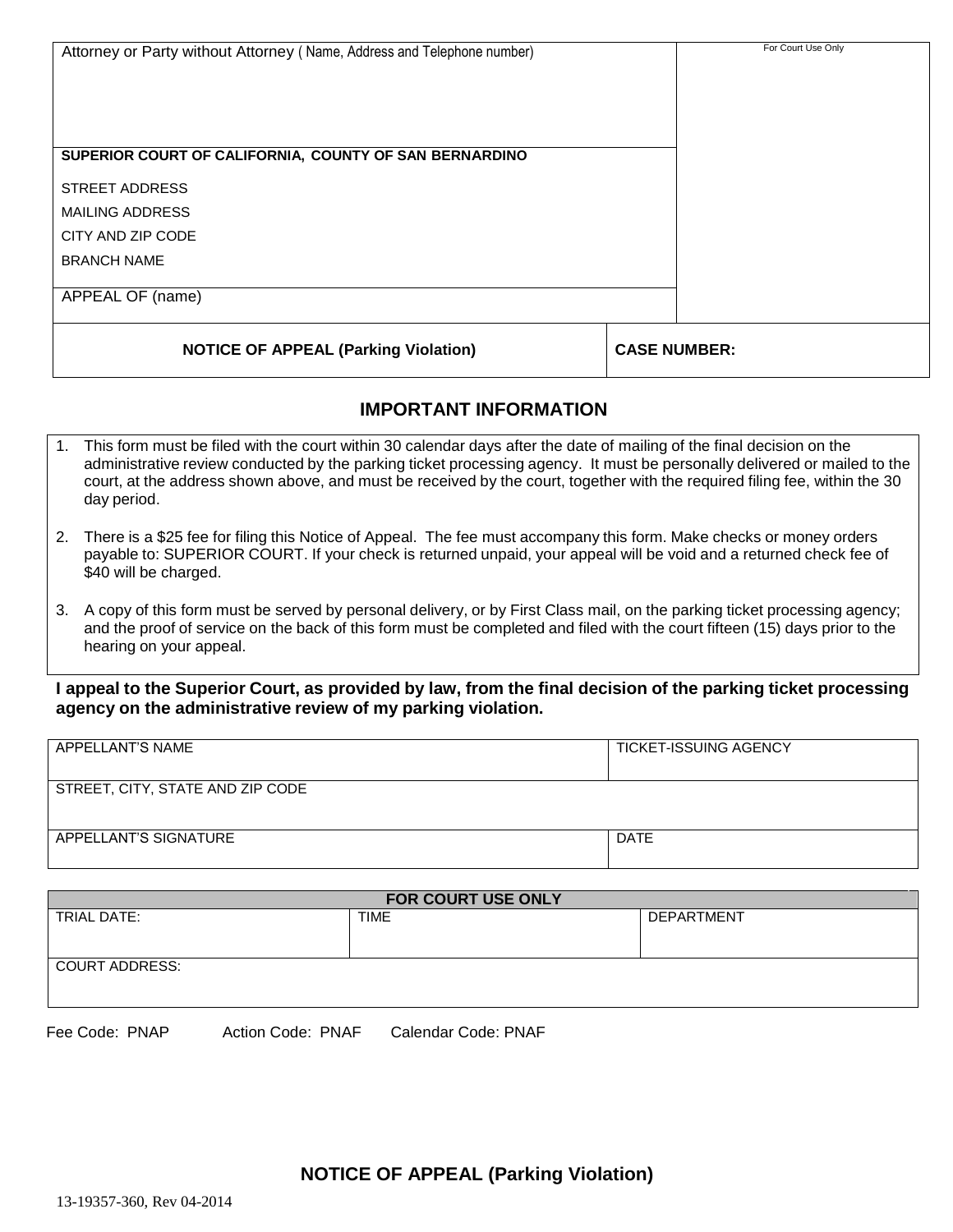| Attorney or Party without Attorney (Name, Address and Telephone number) | For Court Use Only  |
|-------------------------------------------------------------------------|---------------------|
|                                                                         |                     |
| SUPERIOR COURT OF CALIFORNIA, COUNTY OF SAN BERNARDINO                  |                     |
| STREET ADDRESS                                                          |                     |
| MAILING ADDRESS                                                         |                     |
| CITY AND ZIP CODE                                                       |                     |
| <b>BRANCH NAME</b>                                                      |                     |
| APPEAL OF (name)                                                        |                     |
| <b>NOTICE OF APPEAL (Parking Violation)</b>                             | <b>CASE NUMBER:</b> |

## **IMPORTANT INFORMATION**

- 1. This form must be filed with the court within 30 calendar days after the date of mailing of the final decision on the administrative review conducted by the parking ticket processing agency. It must be personally delivered or mailed to the court, at the address shown above, and must be received by the court, together with the required filing fee, within the 30 day period.
- 2. There is a \$25 fee for filing this Notice of Appeal. The fee must accompany this form. Make checks or money orders payable to: SUPERIOR COURT. If your check is returned unpaid, your appeal will be void and a returned check fee of \$40 will be charged.
- 3. A copy of this form must be served by personal delivery, or by First Class mail, on the parking ticket processing agency; and the proof of service on the back of this form must be completed and filed with the court fifteen (15) days prior to the hearing on your appeal.

I appeal to the Superior Court, as provided by law, from the final decision of the parking ticket processing **agency on the administrative review of my parking violation.**

| APPELLANT'S NAME                 | <b>TICKET-ISSUING AGENCY</b> |
|----------------------------------|------------------------------|
| STREET, CITY, STATE AND ZIP CODE |                              |
| APPELLANT'S SIGNATURE            | DATE                         |

| <b>FOR COURT USE ONLY</b> |             |                   |  |
|---------------------------|-------------|-------------------|--|
| TRIAL DATE:               | <b>TIME</b> | <b>DEPARTMENT</b> |  |
|                           |             |                   |  |
|                           |             |                   |  |
| <b>COURT ADDRESS:</b>     |             |                   |  |
|                           |             |                   |  |
|                           |             |                   |  |
|                           |             |                   |  |

Fee Code: PNAP Action Code: PNAF Calendar Code: PNAF